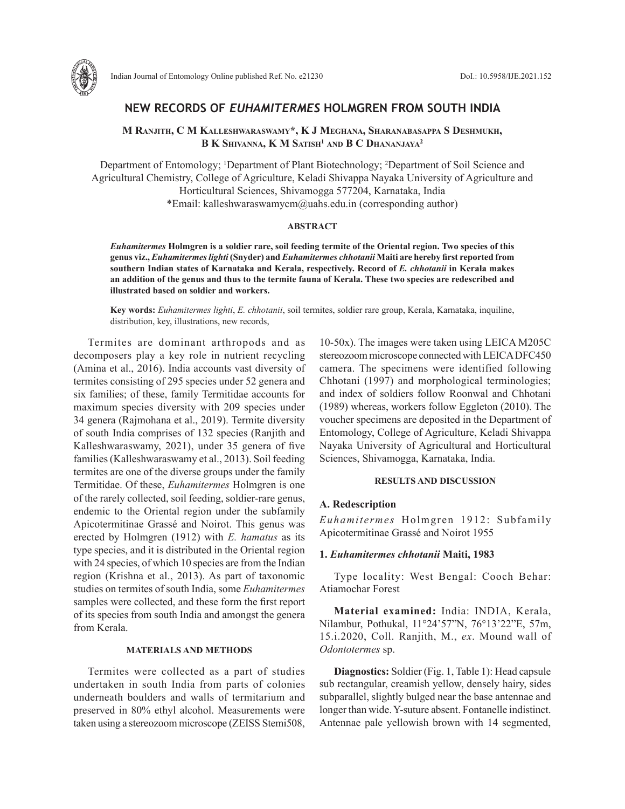

# **NEW RECORDS OF** *EUHAMITERMES* **HOLMGREN FROM SOUTH INDIA**

# **M Ranjith, C M Kalleshwaraswamy\*, K J Meghana, Sharanabasappa S Deshmukh, B K Shivanna, K M Satish1 and B C Dhananjaya2**

Department of Entomology; <sup>1</sup>Department of Plant Biotechnology; <sup>2</sup>Department of Soil Science and Agricultural Chemistry, College of Agriculture, Keladi Shivappa Nayaka University of Agriculture and Horticultural Sciences, Shivamogga 577204, Karnataka, India \*Email: kalleshwaraswamycm@uahs.edu.in (corresponding author)

#### **ABSTRACT**

*Euhamitermes* **Holmgren is a soldier rare, soil feeding termite of the Oriental region. Two species of this genus viz.,** *Euhamitermes lighti* **(Snyder) and** *Euhamitermes chhotanii* **Maiti are hereby first reported from southern Indian states of Karnataka and Kerala, respectively. Record of** *E. chhotanii* **in Kerala makes an addition of the genus and thus to the termite fauna of Kerala. These two species are redescribed and illustrated based on soldier and workers.** 

**Key words:** *Euhamitermes lighti*, *E. chhotanii*, soil termites, soldier rare group, Kerala, Karnataka, inquiline, distribution, key, illustrations, new records,

Termites are dominant arthropods and as decomposers play a key role in nutrient recycling (Amina et al., 2016). India accounts vast diversity of termites consisting of 295 species under 52 genera and six families; of these, family Termitidae accounts for maximum species diversity with 209 species under 34 genera (Rajmohana et al., 2019). Termite diversity of south India comprises of 132 species (Ranjith and Kalleshwaraswamy, 2021), under 35 genera of five families (Kalleshwaraswamy et al., 2013). Soil feeding termites are one of the diverse groups under the family Termitidae. Of these, *Euhamitermes* Holmgren is one of the rarely collected, soil feeding, soldier-rare genus, endemic to the Oriental region under the subfamily Apicotermitinae Grassé and Noirot. This genus was erected by Holmgren (1912) with *E. hamatus* as its type species, and it is distributed in the Oriental region with 24 species, of which 10 species are from the Indian region (Krishna et al., 2013). As part of taxonomic studies on termites of south India, some *Euhamitermes* samples were collected, and these form the first report of its species from south India and amongst the genera from Kerala.

#### **MATERIALS AND METHODS**

Termites were collected as a part of studies undertaken in south India from parts of colonies underneath boulders and walls of termitarium and preserved in 80% ethyl alcohol. Measurements were taken using a stereozoom microscope (ZEISS Stemi508,

10-50x). The images were taken using LEICA M205C stereozoom microscope connected with LEICA DFC450 camera. The specimens were identified following Chhotani (1997) and morphological terminologies; and index of soldiers follow Roonwal and Chhotani (1989) whereas, workers follow Eggleton (2010). The voucher specimens are deposited in the Department of Entomology, College of Agriculture, Keladi Shivappa Nayaka University of Agricultural and Horticultural Sciences, Shivamogga, Karnataka, India.

### **RESULTS AND DISCUSSION**

## **A. Redescription**

*Euhamitermes* Holmgren 1912: Subfamily Apicotermitinae Grassé and Noirot 1955

## **1.** *Euhamitermes chhotanii* **Maiti, 1983**

Type locality: West Bengal: Cooch Behar: Atiamochar Forest

**Material examined:** India: INDIA, Kerala, Nilambur, Pothukal, 11°24'57"N, 76°13'22"E, 57m, 15.i.2020, Coll. Ranjith, M., *ex*. Mound wall of *Odontotermes* sp.

**Diagnostics:** Soldier (Fig. 1, Table 1): Head capsule sub rectangular, creamish yellow, densely hairy, sides subparallel, slightly bulged near the base antennae and longer than wide. Y-suture absent. Fontanelle indistinct. Antennae pale yellowish brown with 14 segmented,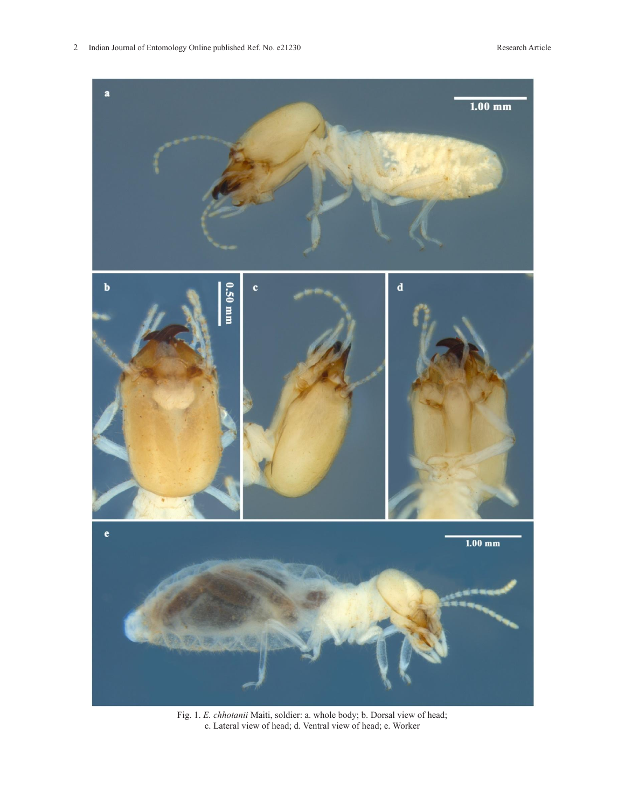

Fig. 1. *E. chhotanii* Maiti, soldier: a. whole body; b. Dorsal view of head; c. Lateral view of head; d. Ventral view of head; e. Worker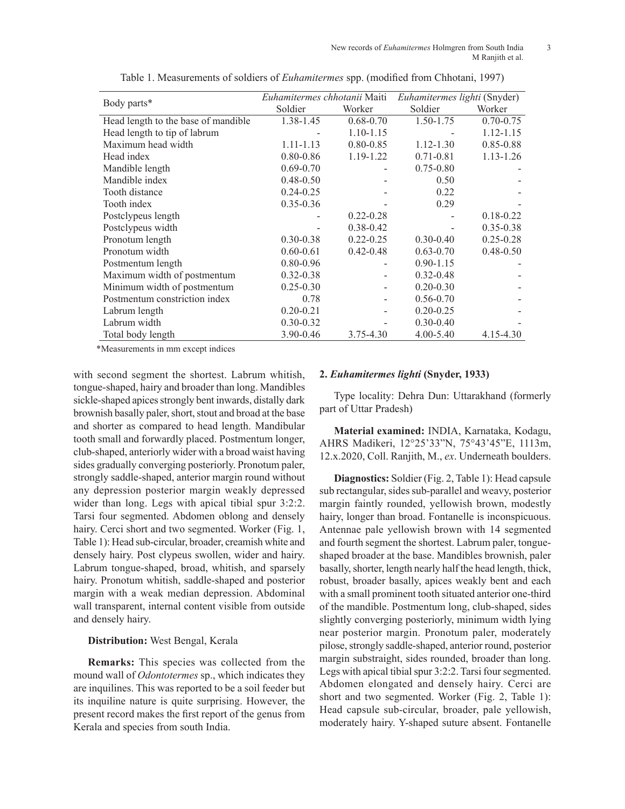| Body parts*                         | Euhamitermes chhotanii Maiti |               | Euhamitermes lighti (Snyder) |               |
|-------------------------------------|------------------------------|---------------|------------------------------|---------------|
|                                     | Soldier                      | Worker        | Soldier                      | Worker        |
| Head length to the base of mandible | 1.38-1.45                    | $0.68 - 0.70$ | 1.50-1.75                    | $0.70 - 0.75$ |
| Head length to tip of labrum        |                              | $1.10 - 1.15$ |                              | 1.12-1.15     |
| Maximum head width                  | $1.11 - 1.13$                | $0.80 - 0.85$ | $1.12 - 1.30$                | $0.85 - 0.88$ |
| Head index                          | $0.80 - 0.86$                | 1.19-1.22     | $0.71 - 0.81$                | $1.13 - 1.26$ |
| Mandible length                     | $0.69 - 0.70$                |               | $0.75 - 0.80$                |               |
| Mandible index                      | $0.48 - 0.50$                |               | 0.50                         |               |
| Tooth distance                      | $0.24 - 0.25$                |               | 0.22                         |               |
| Tooth index                         | $0.35 - 0.36$                |               | 0.29                         |               |
| Postclypeus length                  |                              | $0.22 - 0.28$ |                              | $0.18 - 0.22$ |
| Postclypeus width                   |                              | $0.38 - 0.42$ |                              | $0.35 - 0.38$ |
| Pronotum length                     | $0.30 - 0.38$                | $0.22 - 0.25$ | $0.30 - 0.40$                | $0.25 - 0.28$ |
| Pronotum width                      | $0.60 - 0.61$                | $0.42 - 0.48$ | $0.63 - 0.70$                | $0.48 - 0.50$ |
| Postmentum length                   | $0.80 - 0.96$                |               | $0.90 - 1.15$                |               |
| Maximum width of postmentum         | $0.32 - 0.38$                |               | $0.32 - 0.48$                |               |
| Minimum width of postmentum         | $0.25 - 0.30$                |               | $0.20 - 0.30$                |               |
| Postmentum constriction index       | 0.78                         |               | $0.56 - 0.70$                |               |
| Labrum length                       | $0.20 - 0.21$                |               | $0.20 - 0.25$                |               |
| Labrum width                        | $0.30 - 0.32$                |               | $0.30 - 0.40$                |               |
| Total body length                   | 3.90-0.46                    | 3.75-4.30     | $4.00 - 5.40$                | 4.15-4.30     |

Table 1. Measurements of soldiers of *Euhamitermes* spp. (modified from Chhotani, 1997)

\*Measurements in mm except indices

with second segment the shortest. Labrum whitish, tongue-shaped, hairy and broader than long. Mandibles sickle-shaped apices strongly bent inwards, distally dark brownish basally paler, short, stout and broad at the base and shorter as compared to head length. Mandibular tooth small and forwardly placed. Postmentum longer, club-shaped, anteriorly wider with a broad waist having sides gradually converging posteriorly. Pronotum paler, strongly saddle-shaped, anterior margin round without any depression posterior margin weakly depressed wider than long. Legs with apical tibial spur 3:2:2. Tarsi four segmented. Abdomen oblong and densely hairy. Cerci short and two segmented. Worker (Fig. 1, Table 1): Head sub-circular, broader, creamish white and densely hairy. Post clypeus swollen, wider and hairy. Labrum tongue-shaped, broad, whitish, and sparsely hairy. Pronotum whitish, saddle-shaped and posterior margin with a weak median depression. Abdominal wall transparent, internal content visible from outside and densely hairy.

## **Distribution:** West Bengal, Kerala

**Remarks:** This species was collected from the mound wall of *Odontotermes* sp., which indicates they are inquilines. This was reported to be a soil feeder but its inquiline nature is quite surprising. However, the present record makes the first report of the genus from Kerala and species from south India.

### **2.** *Euhamitermes lighti* **(Snyder, 1933)**

Type locality: Dehra Dun: Uttarakhand (formerly part of Uttar Pradesh)

**Material examined:** INDIA, Karnataka, Kodagu, AHRS Madikeri, 12°25'33"N, 75°43'45"E, 1113m, 12.x.2020, Coll. Ranjith, M., *ex*. Underneath boulders.

**Diagnostics:** Soldier (Fig. 2, Table 1): Head capsule sub rectangular, sides sub-parallel and weavy, posterior margin faintly rounded, yellowish brown, modestly hairy, longer than broad. Fontanelle is inconspicuous. Antennae pale yellowish brown with 14 segmented and fourth segment the shortest. Labrum paler, tongueshaped broader at the base. Mandibles brownish, paler basally, shorter, length nearly half the head length, thick, robust, broader basally, apices weakly bent and each with a small prominent tooth situated anterior one-third of the mandible. Postmentum long, club-shaped, sides slightly converging posteriorly, minimum width lying near posterior margin. Pronotum paler, moderately pilose, strongly saddle-shaped, anterior round, posterior margin substraight, sides rounded, broader than long. Legs with apical tibial spur 3:2:2. Tarsi four segmented. Abdomen elongated and densely hairy. Cerci are short and two segmented. Worker (Fig. 2, Table 1): Head capsule sub-circular, broader, pale yellowish, moderately hairy. Y-shaped suture absent. Fontanelle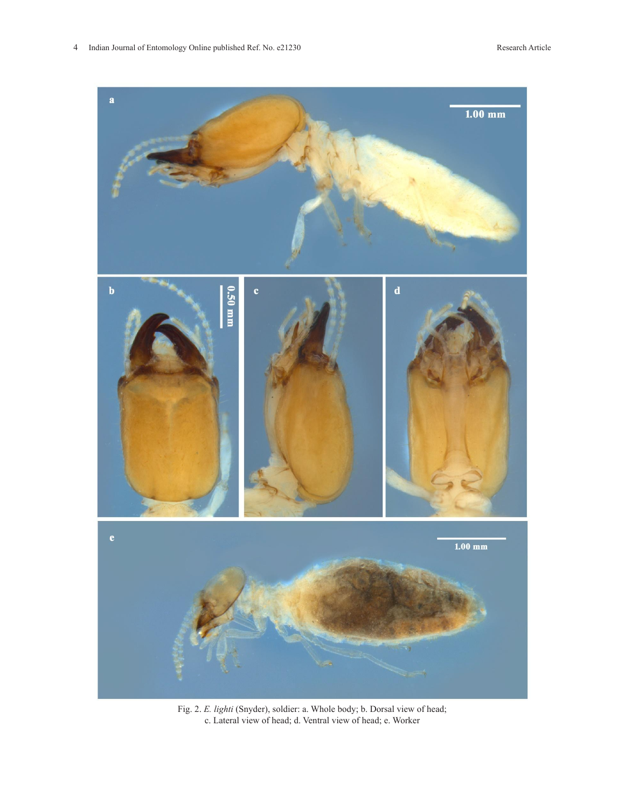

Fig. 2. *E. lighti* (Snyder), soldier: a. Whole body; b. Dorsal view of head; c. Lateral view of head; d. Ventral view of head; e. Worker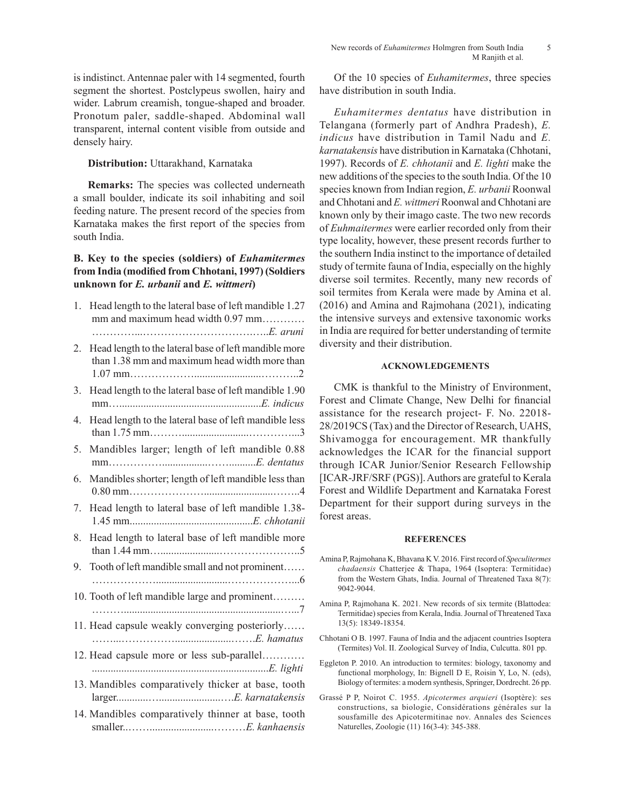is indistinct. Antennae paler with 14 segmented, fourth segment the shortest. Postclypeus swollen, hairy and wider. Labrum creamish, tongue-shaped and broader. Pronotum paler, saddle-shaped. Abdominal wall transparent, internal content visible from outside and densely hairy.

## **Distribution:** Uttarakhand, Karnataka

**Remarks:** The species was collected underneath a small boulder, indicate its soil inhabiting and soil feeding nature. The present record of the species from Karnataka makes the first report of the species from south India.

# **B. Key to the species (soldiers) of** *Euhamitermes* **from India (modified from Chhotani, 1997) (Soldiers unknown for** *E. urbanii* **and** *E. wittmeri***)**

| 1. | Head length to the lateral base of left mandible 1.27<br>mm and maximum head width 0.97 mm             |
|----|--------------------------------------------------------------------------------------------------------|
|    |                                                                                                        |
| 2. | Head length to the lateral base of left mandible more<br>than 1.38 mm and maximum head width more than |
| 3. | Head length to the lateral base of left mandible 1.90                                                  |
| 4. | Head length to the lateral base of left mandible less                                                  |
| 5. | Mandibles larger; length of left mandible 0.88                                                         |
| 6. | Mandibles shorter; length of left mandible less than                                                   |
| 7. | Head length to lateral base of left mandible 1.38-                                                     |
| 8. | Head length to lateral base of left mandible more                                                      |
| 9. | Tooth of left mandible small and not prominent                                                         |
|    | 10. Tooth of left mandible large and prominent                                                         |
|    | 11. Head capsule weakly converging posteriorly                                                         |
|    | 12. Head capsule more or less sub-parallel                                                             |
|    | 13. Mandibles comparatively thicker at base, tooth                                                     |
|    | 14. Mandibles comparatively thinner at base, tooth                                                     |

Of the 10 species of *Euhamitermes*, three species have distribution in south India.

*Euhamitermes dentatus* have distribution in Telangana (formerly part of Andhra Pradesh), *E. indicus* have distribution in Tamil Nadu and *E. karnatakensis* have distribution in Karnataka (Chhotani, 1997). Records of *E. chhotanii* and *E. lighti* make the new additions of the species to the south India. Of the 10 species known from Indian region, *E. urbanii* Roonwal and Chhotani and *E. wittmeri* Roonwal and Chhotani are known only by their imago caste. The two new records of *Euhmaitermes* were earlier recorded only from their type locality, however, these present records further to the southern India instinct to the importance of detailed study of termite fauna of India, especially on the highly diverse soil termites. Recently, many new records of soil termites from Kerala were made by Amina et al. (2016) and Amina and Rajmohana (2021), indicating the intensive surveys and extensive taxonomic works in India are required for better understanding of termite diversity and their distribution.

## **ACKNOWLEDGEMENTS**

CMK is thankful to the Ministry of Environment, Forest and Climate Change, New Delhi for financial assistance for the research project- F. No. 22018- 28/2019CS (Tax) and the Director of Research, UAHS, Shivamogga for encouragement. MR thankfully acknowledges the ICAR for the financial support through ICAR Junior/Senior Research Fellowship [ICAR-JRF/SRF (PGS)]. Authors are grateful to Kerala Forest and Wildlife Department and Karnataka Forest Department for their support during surveys in the forest areas.

#### **REFERENCES**

- Amina P, Rajmohana K, Bhavana K V. 2016. First record of *Speculitermes chadaensis* Chatterjee & Thapa, 1964 (Isoptera: Termitidae) from the Western Ghats, India. Journal of Threatened Taxa 8(7): 9042-9044.
- Amina P, Rajmohana K. 2021. New records of six termite (Blattodea: Termitidae) species from Kerala, India. Journal of Threatened Taxa 13(5): 18349-18354.
- Chhotani O B. 1997. Fauna of India and the adjacent countries Isoptera (Termites) Vol. II. Zoological Survey of India, Culcutta. 801 pp.
- Eggleton P. 2010. An introduction to termites: biology, taxonomy and functional morphology, In: Bignell D E, Roisin Y, Lo, N. (eds), Biology of termites: a modern synthesis, Springer, Dordrecht. 26 pp.
- Grassé P P, Noirot C. 1955. *Apicotermes arquieri* (Isoptère): ses constructions, sa biologie, Considérations générales sur la sousfamille des Apicotermitinae nov. Annales des Sciences Naturelles, Zoologie (11) 16(3-4): 345-388.